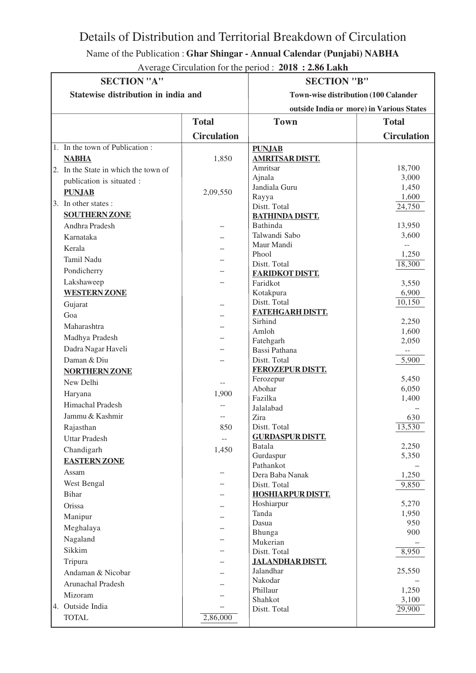## Details of Distribution and Territorial Breakdown of Circulation

Name of the Publication : **Ghar Shingar - Annual Calendar (Punjabi) NABHA**

Average Circulation for the period : **2018 : 2.86 Lakh**

| <b>SECTION "A"</b>                   |                    | <b>SECTION "B"</b>                           |                    |
|--------------------------------------|--------------------|----------------------------------------------|--------------------|
| Statewise distribution in india and  |                    | <b>Town-wise distribution (100 Calander)</b> |                    |
|                                      |                    | outside India or more) in Various States     |                    |
|                                      | <b>Total</b>       | <b>Town</b>                                  | <b>Total</b>       |
|                                      | <b>Circulation</b> |                                              | <b>Circulation</b> |
| 1. In the town of Publication:       |                    | <b>PUNJAB</b>                                |                    |
| <b>NABHA</b>                         | 1,850              | <b>AMRITSAR DISTT.</b>                       |                    |
| 2. In the State in which the town of |                    | Amritsar                                     | 18,700             |
| publication is situated :            |                    | Ajnala                                       | 3,000              |
| <b>PUNJAB</b>                        | 2,09,550           | Jandiala Guru                                | 1,450              |
| 3. In other states :                 |                    | Rayya<br>Distt. Total                        | 1,600<br>24,750    |
| <b>SOUTHERN ZONE</b>                 |                    | <b>BATHINDA DISTT.</b>                       |                    |
| Andhra Pradesh                       |                    | Bathinda                                     | 13,950             |
| Karnataka                            |                    | Talwandi Sabo                                | 3,600              |
| Kerala                               |                    | Maur Mandi                                   |                    |
| <b>Tamil Nadu</b>                    |                    | Phool                                        | 1,250              |
|                                      |                    | Distt. Total                                 | 18,300             |
| Pondicherry                          |                    | <b>FARIDKOT DISTT.</b>                       |                    |
| Lakshaweep                           |                    | Faridkot                                     | 3,550              |
| <b>WESTERN ZONE</b>                  |                    | Kotakpura                                    | 6,900              |
| Gujarat                              |                    | Distt. Total                                 | 10,150             |
| Goa                                  |                    | <b>FATEHGARH DISTT.</b><br>Sirhind           | 2,250              |
| Maharashtra                          |                    | Amloh                                        | 1,600              |
| Madhya Pradesh                       |                    | Fatehgarh                                    | 2,050              |
| Dadra Nagar Haveli                   |                    | Bassi Pathana                                | $- -$              |
| Daman & Diu                          |                    | Distt. Total                                 | 5,900              |
| <b>NORTHERN ZONE</b>                 |                    | <b>FEROZEPUR DISTT.</b>                      |                    |
| New Delhi                            |                    | Ferozepur                                    | 5,450              |
| Haryana                              | 1,900              | Abohar                                       | 6,050              |
| Himachal Pradesh                     |                    | Fazilka                                      | 1,400              |
| Jammu & Kashmir                      |                    | Jalalabad                                    |                    |
|                                      |                    | Zira<br>Distt. Total                         | 630<br>13,530      |
| Rajasthan                            | 850                | <b>GURDASPUR DISTT.</b>                      |                    |
| <b>Uttar Pradesh</b>                 |                    | Batala                                       | 2,250              |
| Chandigarh                           | 1,450              | Gurdaspur                                    | 5,350              |
| <b>EASTERN ZONE</b>                  |                    | Pathankot                                    |                    |
| Assam                                |                    | Dera Baba Nanak                              | 1,250              |
| West Bengal                          |                    | Distt. Total                                 | 9,850              |
| Bihar                                |                    | <b>HOSHIARPUR DISTT.</b>                     |                    |
| Orissa                               |                    | Hoshiarpur                                   | 5,270              |
| Manipur                              |                    | Tanda                                        | 1,950              |
| Meghalaya                            |                    | Dasua                                        | 950                |
| Nagaland                             |                    | Bhunga<br>Mukerian                           | 900                |
| Sikkim                               |                    | Distt. Total                                 | 8,950              |
| Tripura                              |                    | <b>JALANDHAR DISTT.</b>                      |                    |
| Andaman & Nicobar                    |                    | Jalandhar                                    | 25,550             |
| Arunachal Pradesh                    |                    | Nakodar                                      |                    |
|                                      |                    | Phillaur                                     | 1,250              |
| Mizoram                              |                    | Shahkot                                      | 3,100              |
| 4. Outside India                     |                    | Distt. Total                                 | 29,900             |
| <b>TOTAL</b>                         | 2,86,000           |                                              |                    |